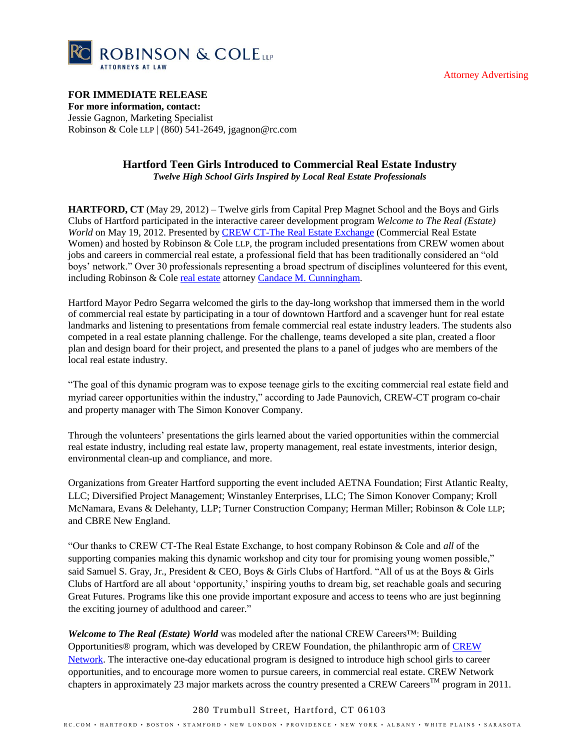



# **FOR IMMEDIATE RELEASE**

**For more information, contact:** Jessie Gagnon, Marketing Specialist Robinson & Cole LLP | (860) 541-2649, jgagnon@rc.com

# **Hartford Teen Girls Introduced to Commercial Real Estate Industry** *Twelve High School Girls Inspired by Local Real Estate Professionals*

**HARTFORD, CT** (May 29, 2012) – Twelve girls from Capital Prep Magnet School and the Boys and Girls Clubs of Hartford participated in the interactive career development program *Welcome to The Real (Estate) World* on May 19, 2012. Presented by **CREW CT-The Real Estate Exchange (Commercial Real Estate** Women) and hosted by Robinson & Cole LLP, the program included presentations from CREW women about jobs and careers in commercial real estate, a professional field that has been traditionally considered an "old boys" network." Over 30 professionals representing a broad spectrum of disciplines volunteered for this event, including Robinson & Cole [real estate](http://www.rc.com/Group.cfm?gID=21) attorney Candace M. [Cunningham.](http://www.rc.com/Bio.cfm?eID=1439)

Hartford Mayor Pedro Segarra welcomed the girls to the day-long workshop that immersed them in the world of commercial real estate by participating in a tour of downtown Hartford and a scavenger hunt for real estate landmarks and listening to presentations from female commercial real estate industry leaders. The students also competed in a real estate planning challenge. For the challenge, teams developed a site plan, created a floor plan and design board for their project, and presented the plans to a panel of judges who are members of the local real estate industry.

"The goal of this dynamic program was to expose teenage girls to the exciting commercial real estate field and myriad career opportunities within the industry," according to Jade Paunovich, CREW-CT program co-chair and property manager with The Simon Konover Company.

Through the volunteers" presentations the girls learned about the varied opportunities within the commercial real estate industry, including real estate law, property management, real estate investments, interior design, environmental clean-up and compliance, and more.

Organizations from Greater Hartford supporting the event included AETNA Foundation; First Atlantic Realty, LLC; Diversified Project Management; Winstanley Enterprises, LLC; The Simon Konover Company; Kroll McNamara, Evans & Delehanty, LLP; Turner Construction Company; Herman Miller; Robinson & Cole LLP; and CBRE New England.

"Our thanks to CREW CT-The Real Estate Exchange, to host company Robinson & Cole and *all* of the supporting companies making this dynamic workshop and city tour for promising young women possible," said Samuel S. Gray, Jr., President & CEO, Boys & Girls Clubs of Hartford. "All of us at the Boys & Girls Clubs of Hartford are all about "opportunity," inspiring youths to dream big, set reachable goals and securing Great Futures. Programs like this one provide important exposure and access to teens who are just beginning the exciting journey of adulthood and career."

*Welcome to The Real (Estate) World* was modeled after the national CREW Careers™: Building Opportunities® program, which was developed by CREW Foundation, the philanthropic arm o[f CREW](http://www.crewnetwork.org/)  [Network.](http://www.crewnetwork.org/) The interactive one-day educational program is designed to introduce high school girls to career opportunities, and to encourage more women to pursue careers, in commercial real estate. CREW Network chapters in approximately 23 major markets across the country presented a CREW Careers<sup>TM</sup> program in 2011.

### 280 Trumbull Street, Hartford, CT 06103